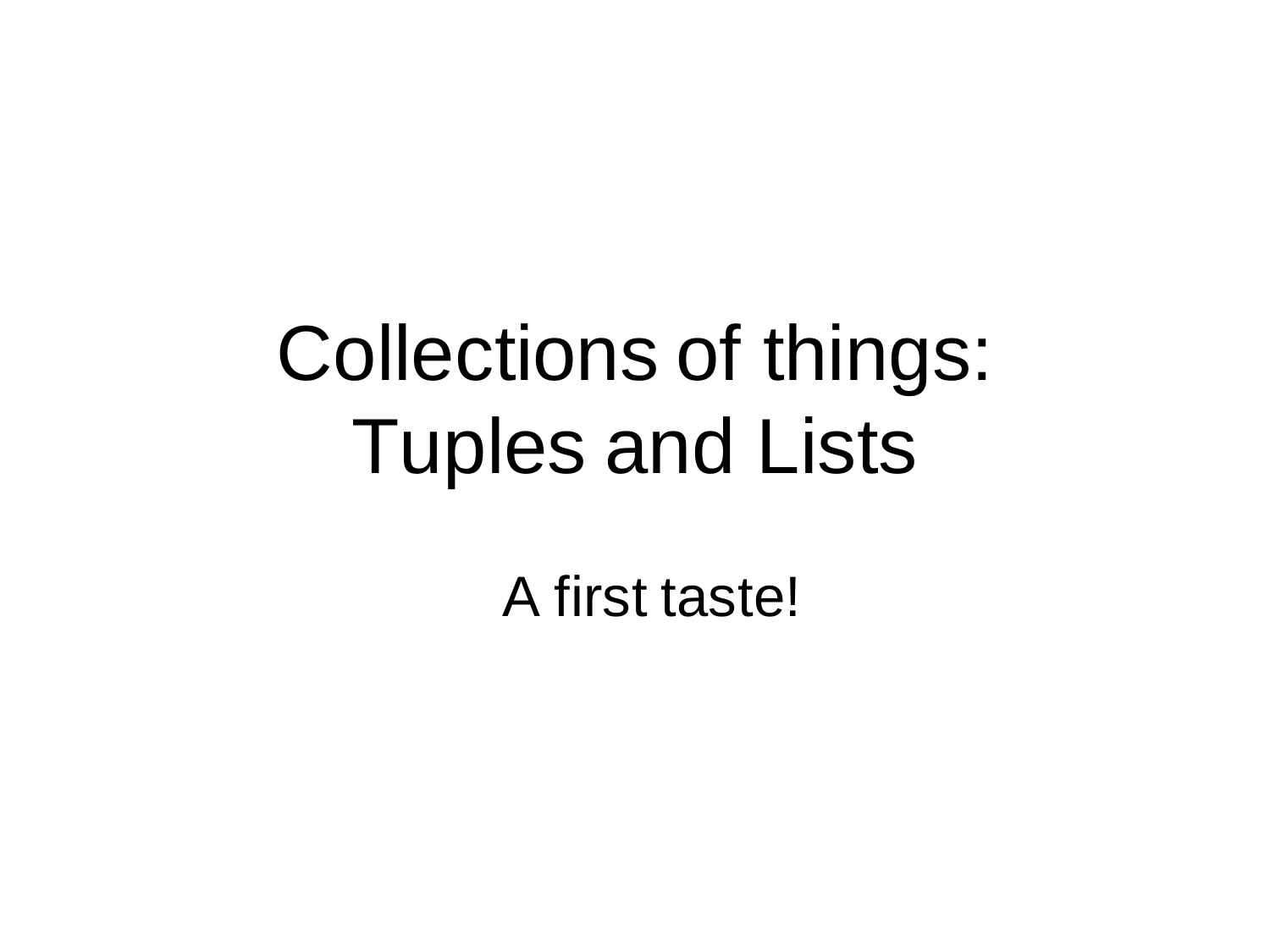# Collections of things: Tuples and Lists

A first taste!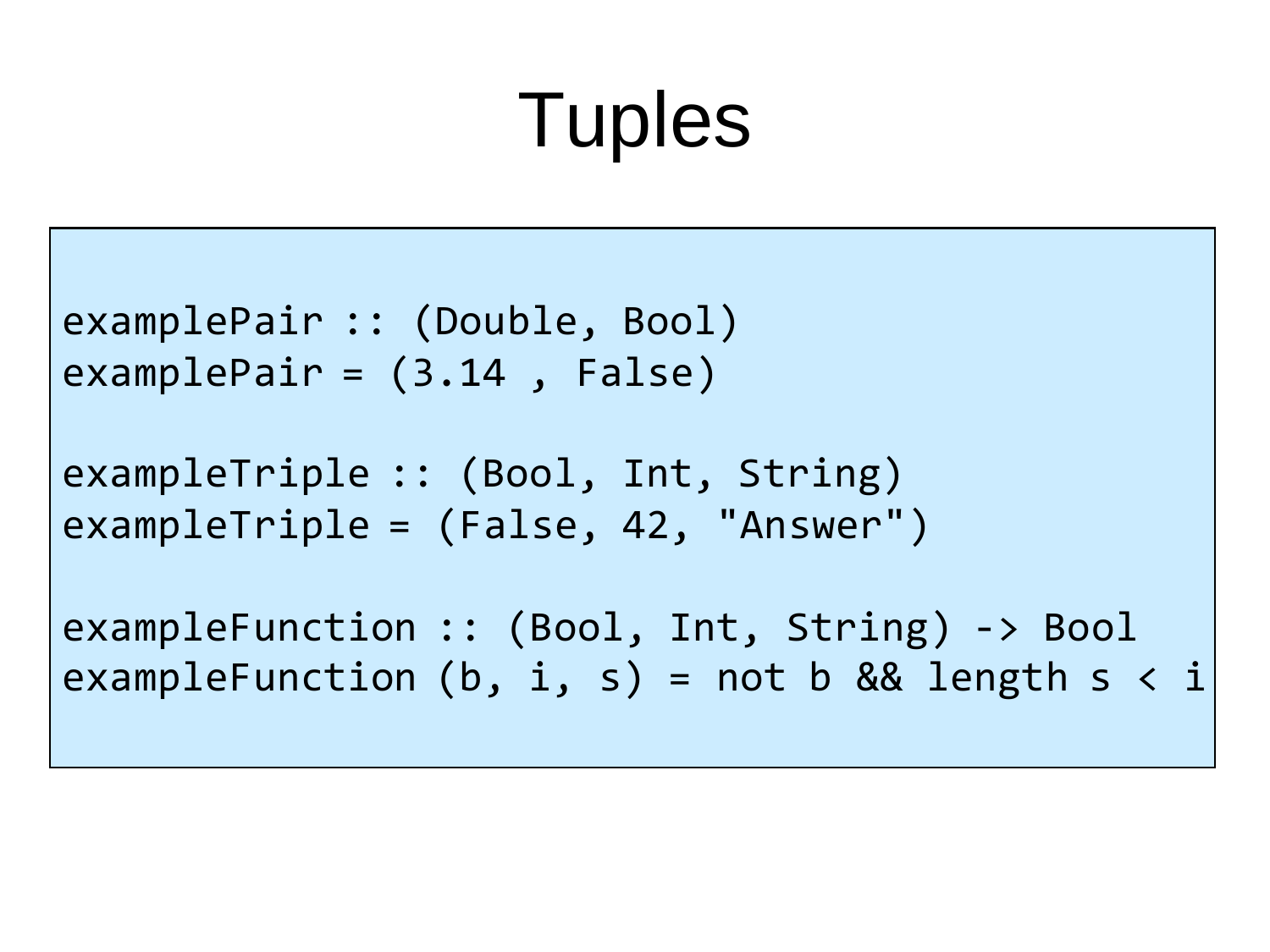# **Tuples**

```
examplePair :: (Double, Bool)
examplePair = (3.14 , False)
```

```
exampleTriple :: (Bool, Int, String)
exampleTriple = (False, 42, "Answer")
```

```
exampleFunction :: (Bool, Int, String) -> Bool
exampleFunction (b, i, s) = not b && length s < i
```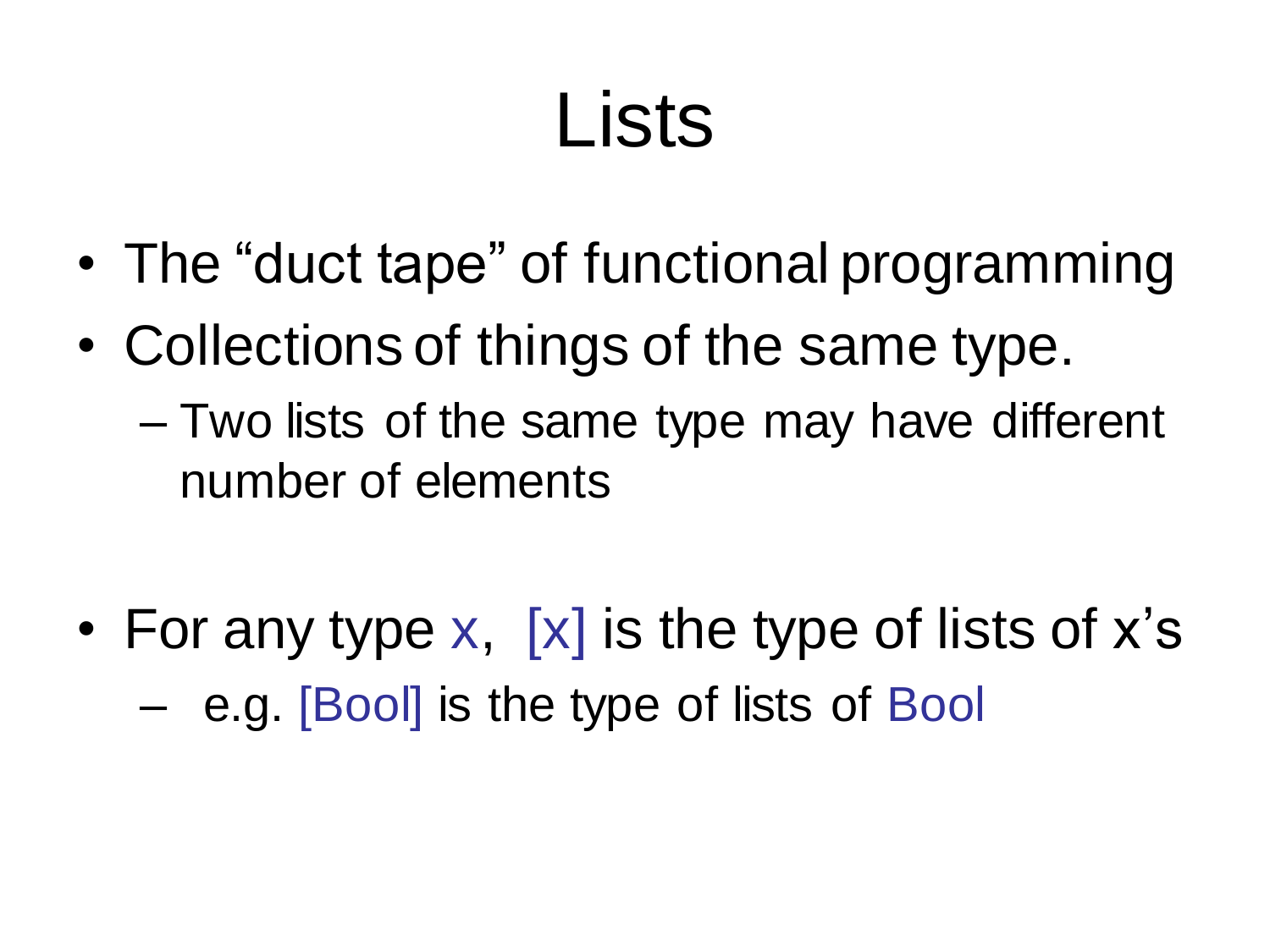## Lists

- The "duct tape" of functional programming
- Collections of things of the same type.
	- Two lists of the same type may have different number of elements
- For any type  $x$ ,  $[x]$  is the type of lists of  $x$ 's – e.g. [Bool] is the type of lists of Bool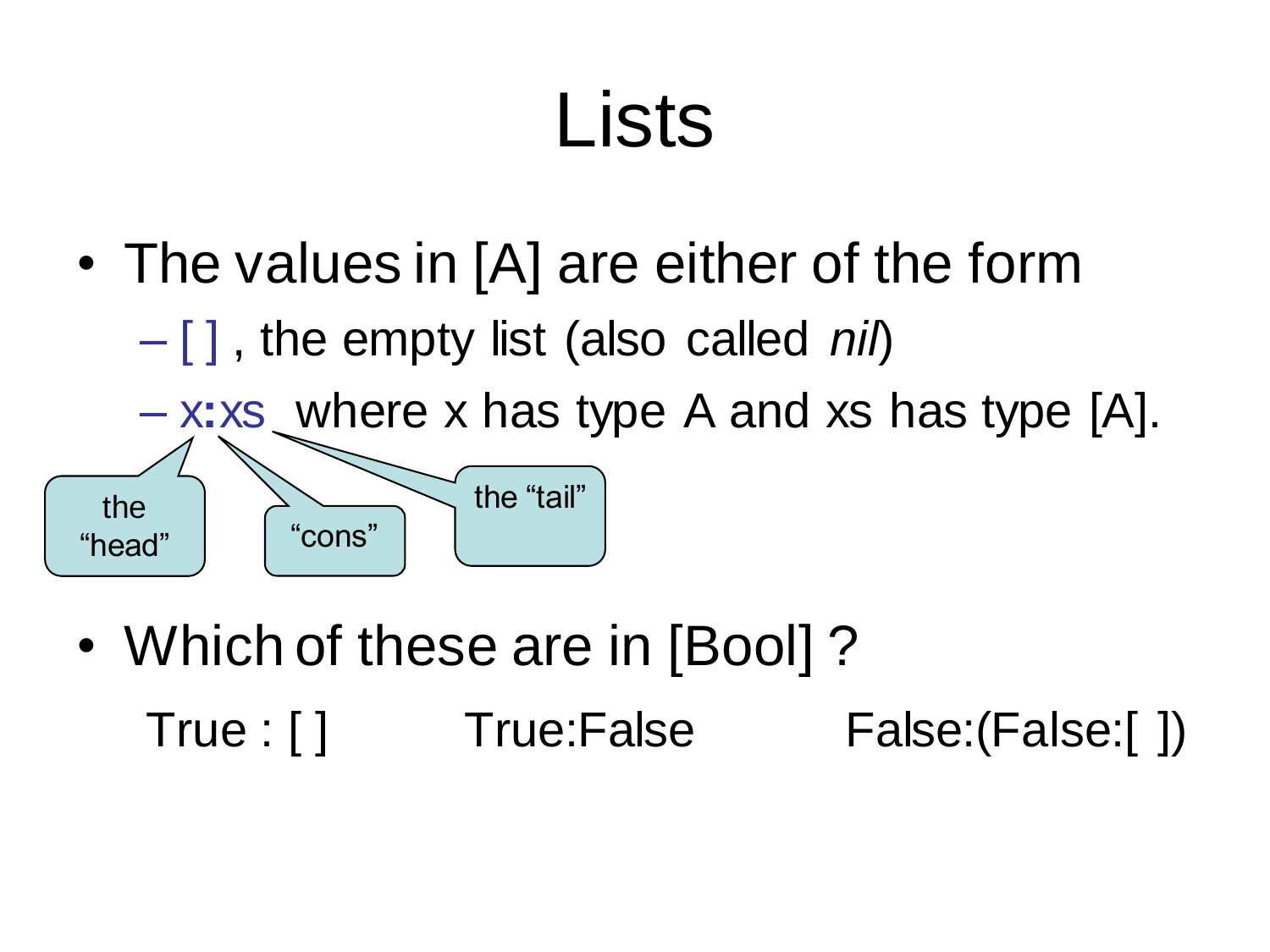## Lists

• The values in [A] are either of the form

– [ ] , the empty list (also called *nil*)



• Which of these are in [Bool]? True : [ ] True:False False:(False:[ ])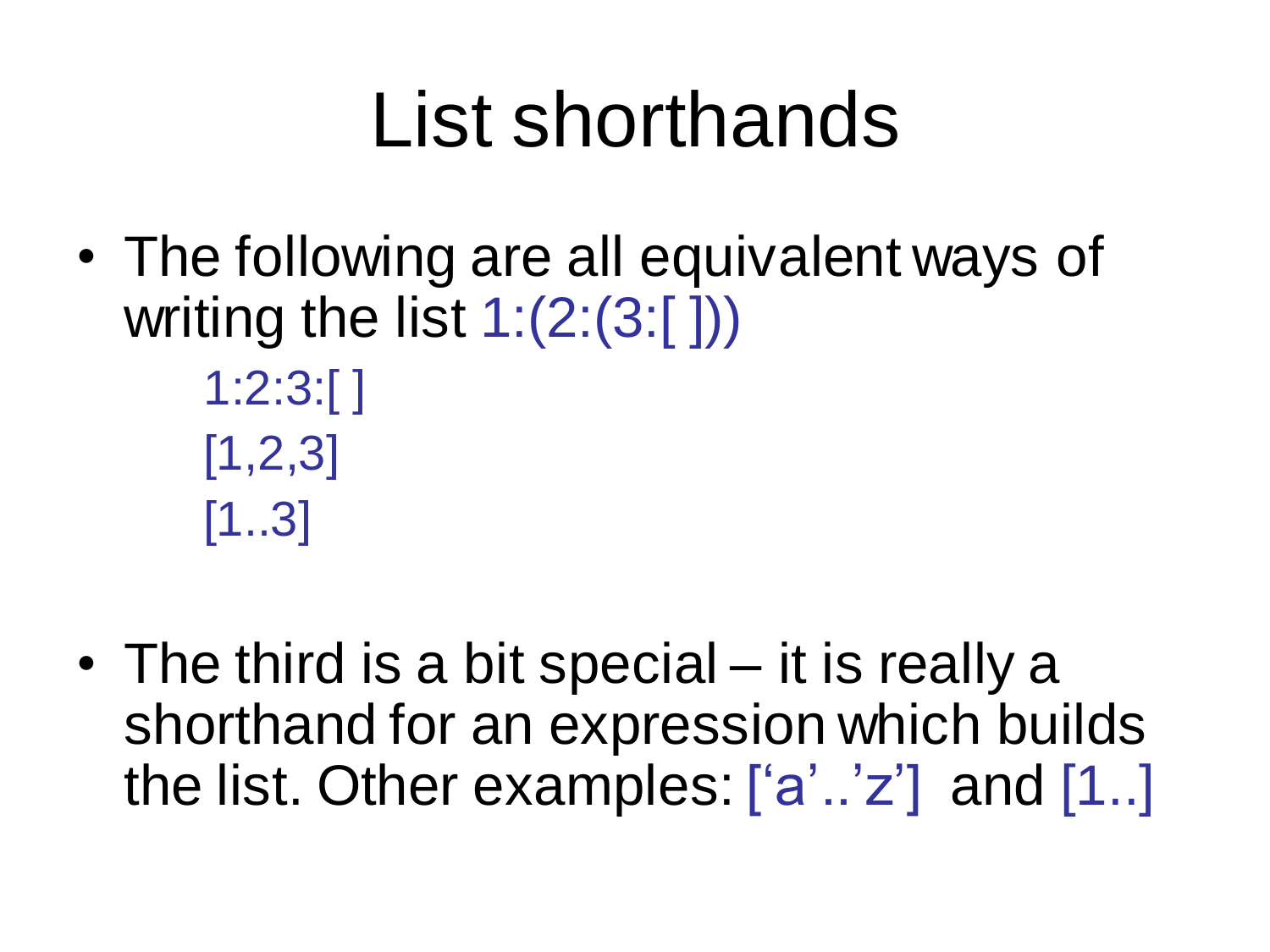#### List shorthands

- The following are all equivalent ways of writing the list 1:(2:(3:[ ]))
	- 1:2:3:[ ]  $[1,2,3]$ [1..3]
- The third is a bit special it is really a shorthand for an expression which builds the list. Other examples: ['a'..'z'] and [1..]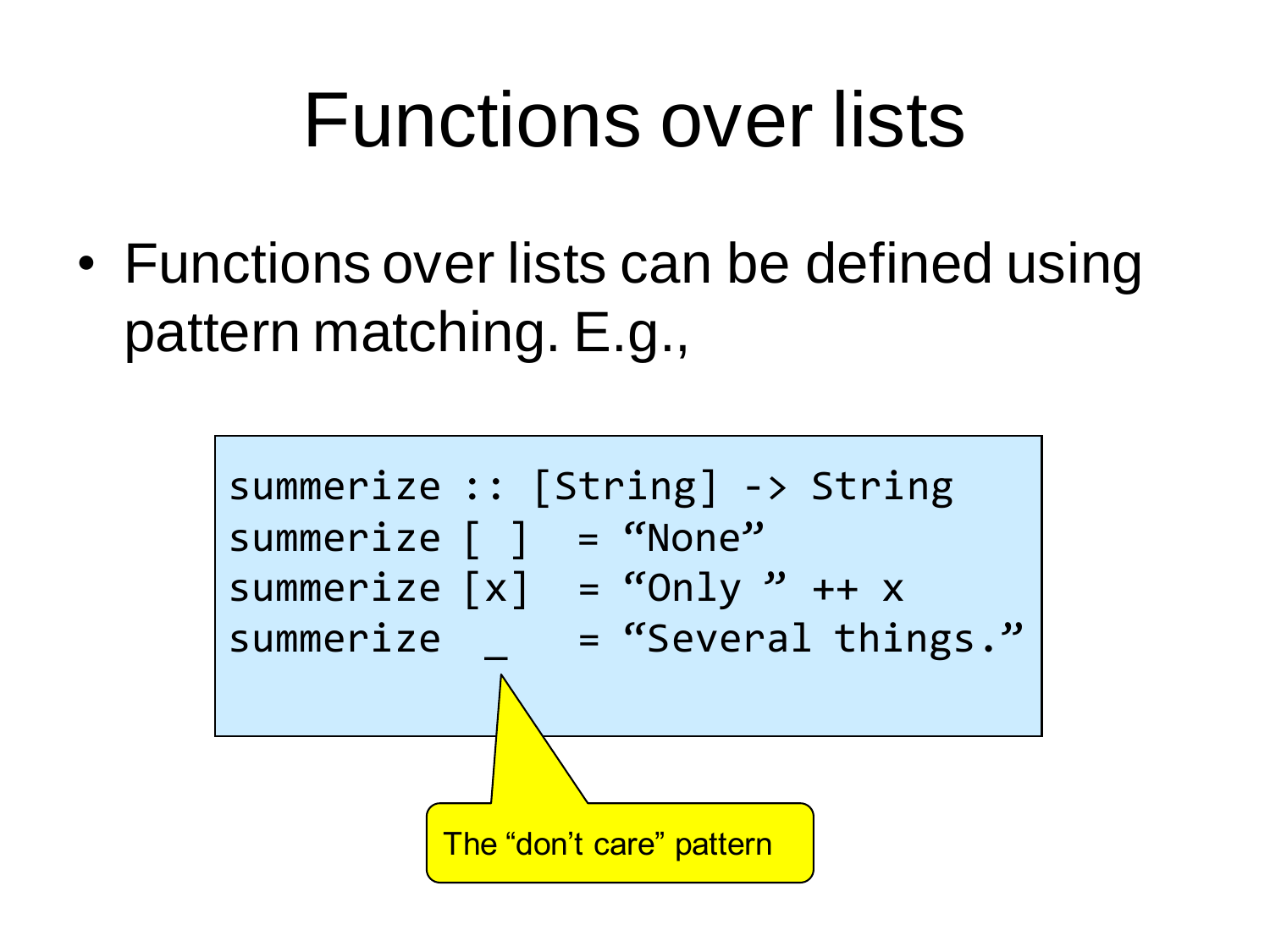#### Functions over lists

• Functions over lists can be defined using pattern matching. E.g.,

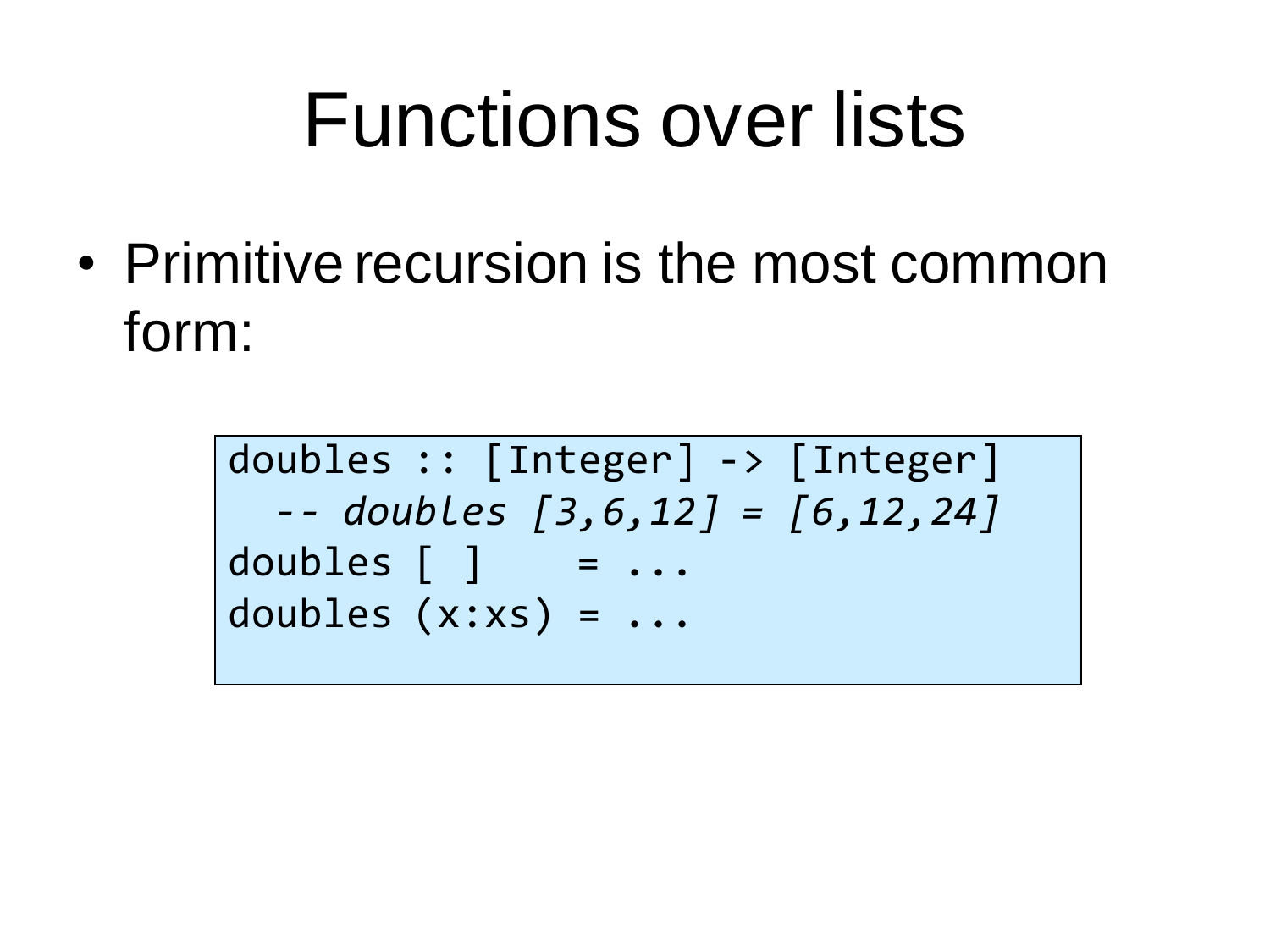#### Functions over lists

• Primitive recursion is the most common form:

> doubles :: [Integer] -> [Integer] *-- doubles [3,6,12] = [6,12,24]* doubles  $[ ]$  =  $\ldots$ doubles (x:xs) = ...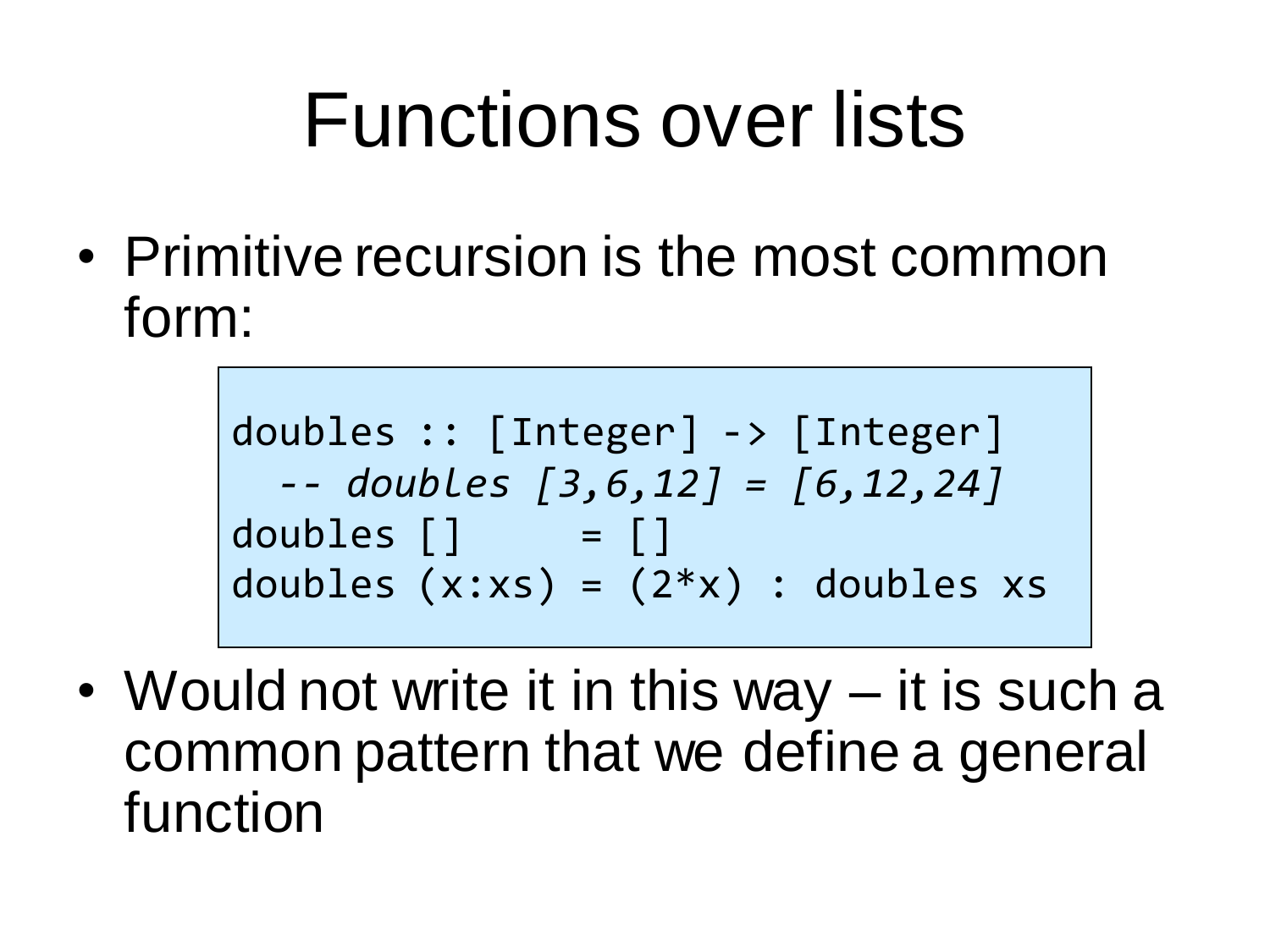## Functions over lists

• Primitive recursion is the most common form:

doubles :: [Integer] -> [Integer] *-- doubles [3,6,12] = [6,12,24]* doubles [] = [] doubles (x:xs) = (2\*x) : doubles xs

• Would not write it in this way – it is such a common pattern that we define a general function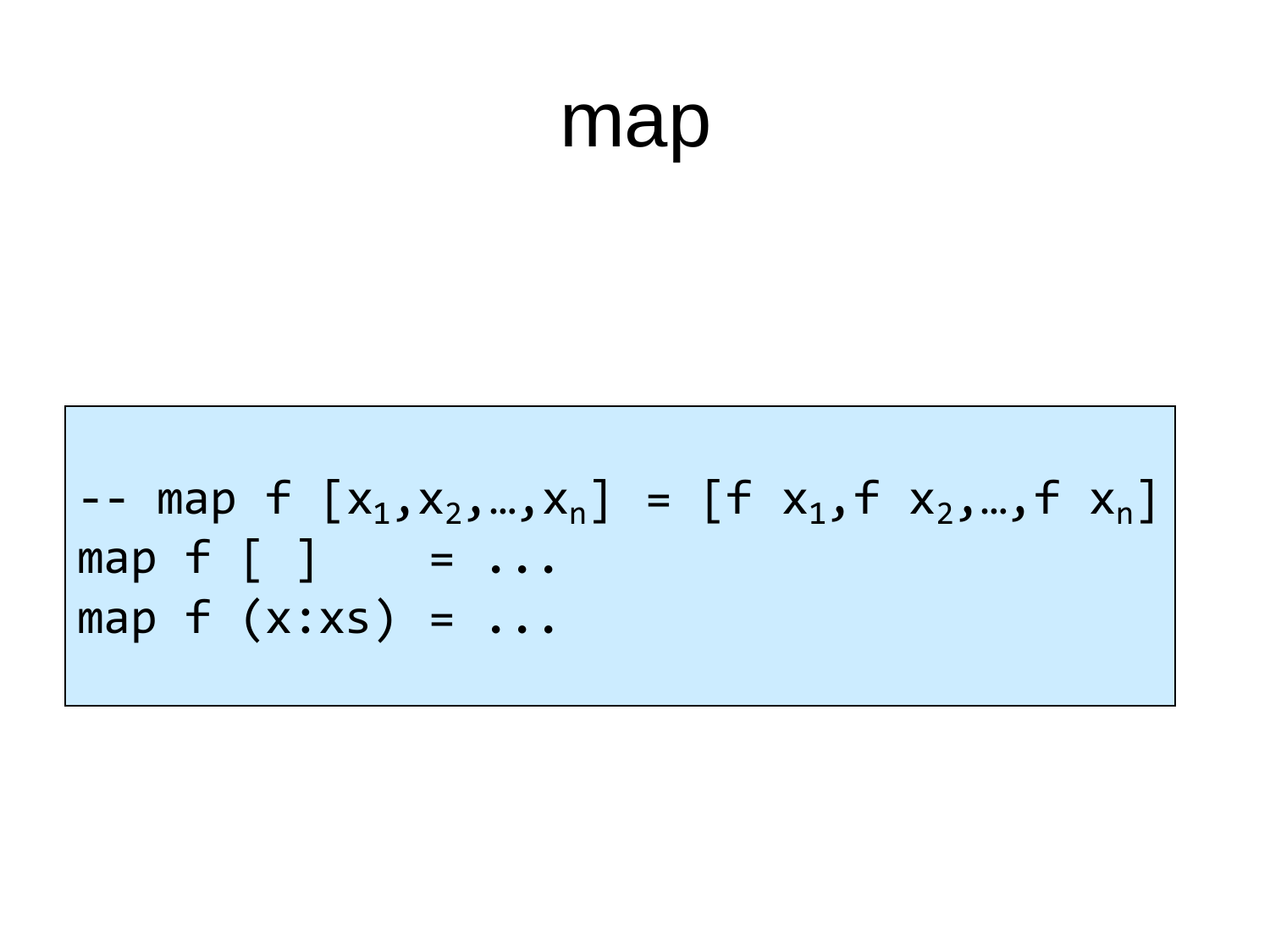#### map

$$
\begin{vmatrix}\n-1 & \text{map } f [x_1, x_2, \dots, x_n] = [f x_1, f x_2, \dots, f x_n] \\
\text{map } f [ ] = \dots \\
\text{map } f (x : xs) = \dots\n\end{vmatrix}
$$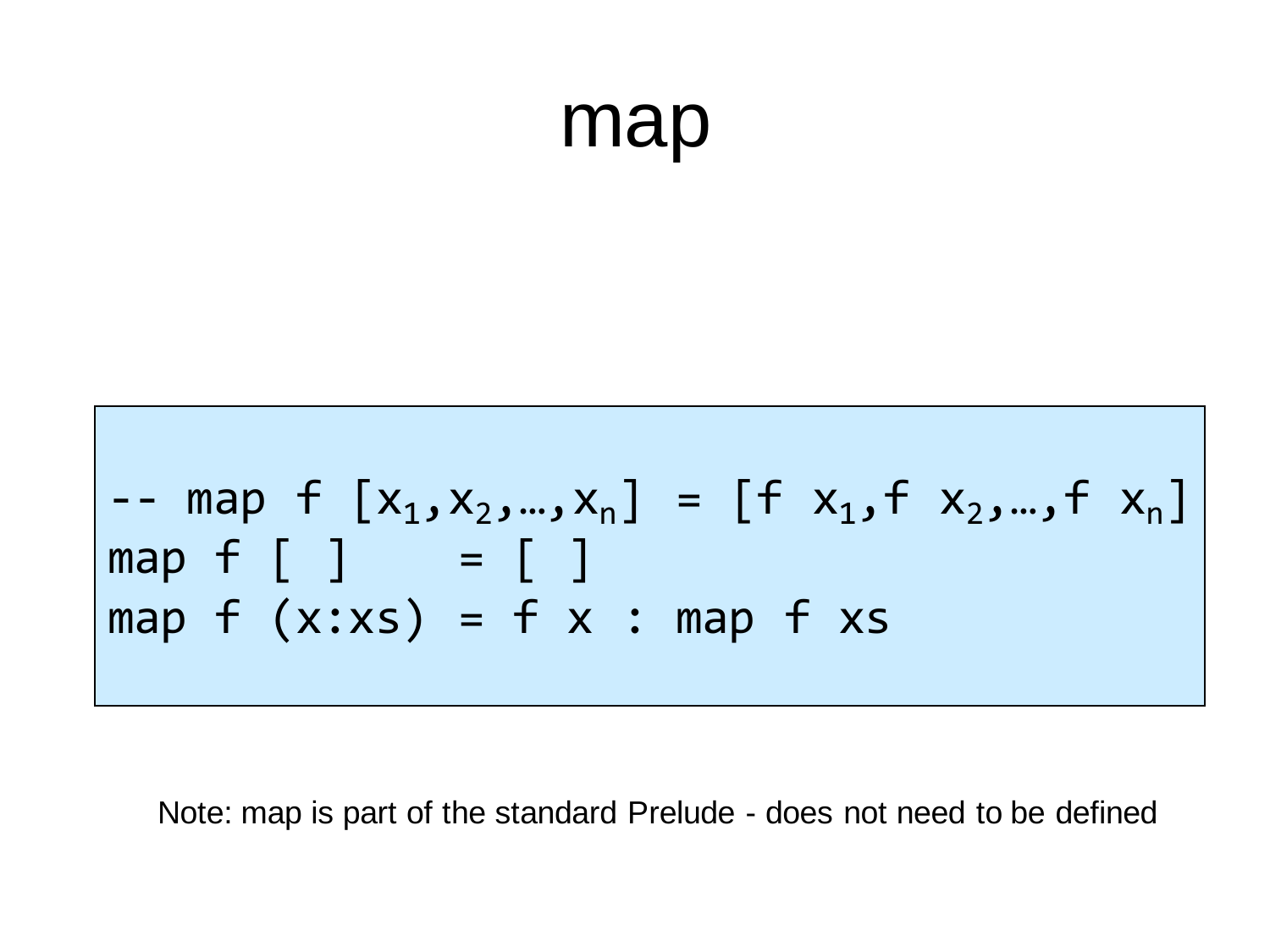#### map

$$
\begin{vmatrix}\n-map & f & [x_1, x_2, ..., x_n] = [f & x_1, f & x_2, ..., f & x_n] \\
map & f & [ ] & = [ ] & \\
map & f & (x : xs) = f & x : map & f & xs\n\end{vmatrix}
$$

Note: map is part of the standard Prelude - does not need to be defined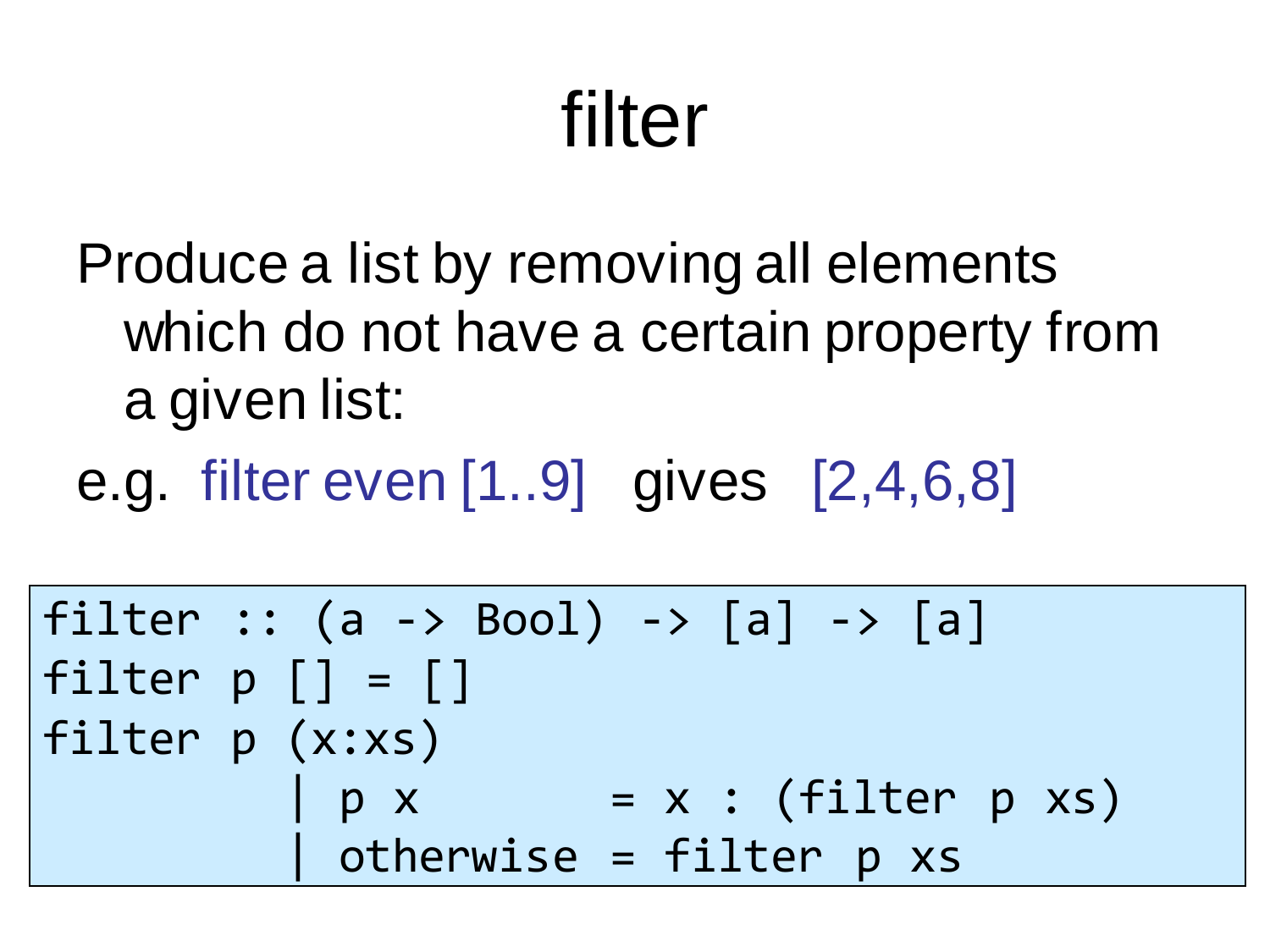# filter

- Produce a list by removing all elements which do not have a certain property from a given list:
- e.g. filter even [1..9] gives [2,4,6,8]

```
filter :: (a \rightarrow Bool) \rightarrow [a] \rightarrow [a]filter p [ ] = []filter p (x:xs) 
             p x = x : (filter p xs)
            | otherwise = filter p xs
```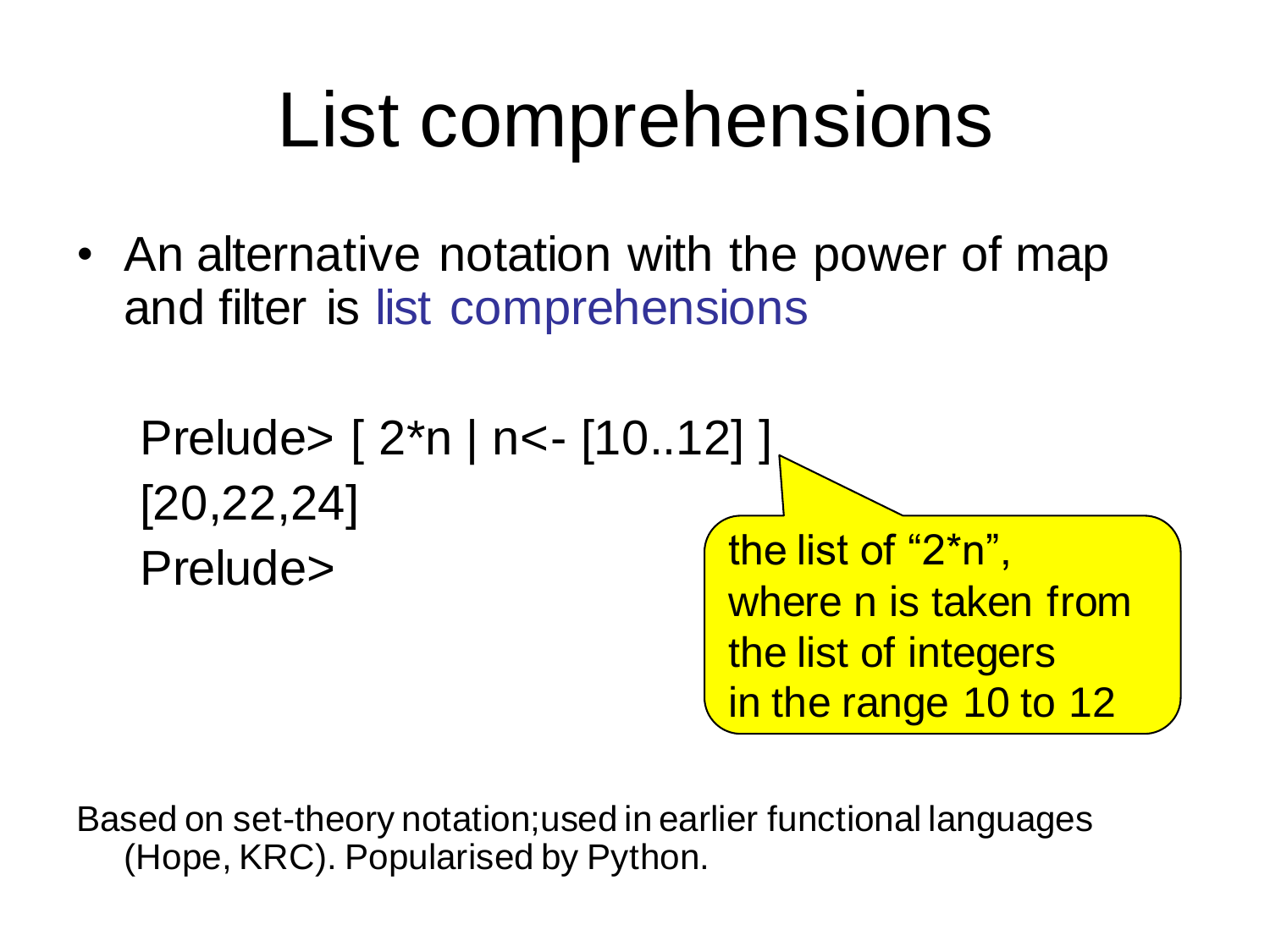## List comprehensions

• An alternative notation with the power of map and filter is list comprehensions



Based on set-theory notation;used in earlier functional languages (Hope, KRC). Popularised by Python.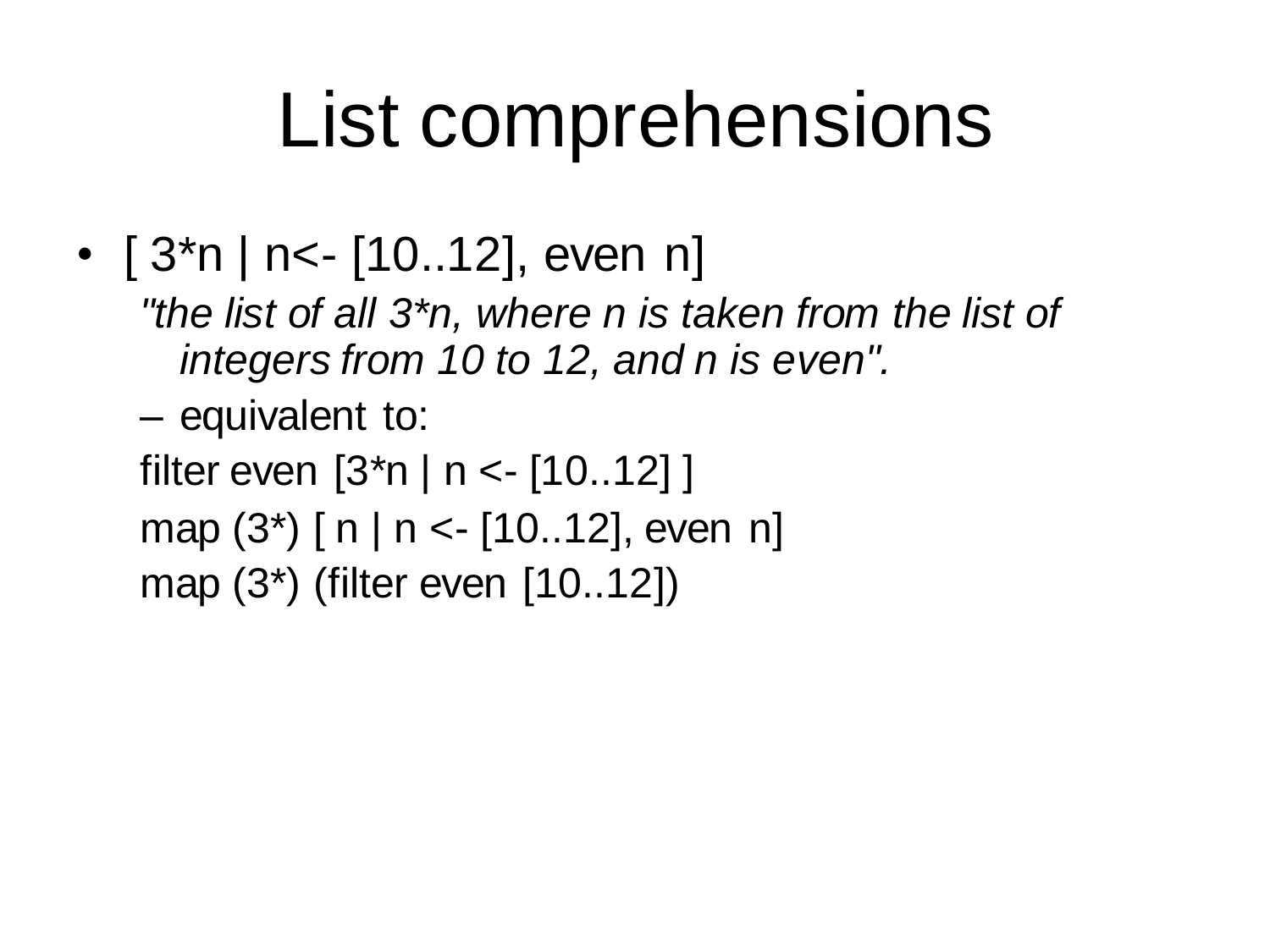## List comprehensions

- $[3<sup>*</sup>n]$  n<- $[10..12]$ , even n
	- *"the list of all 3\*n, where n is taken from the list of integers from 10 to 12, and n is even".*
	- equivalent to:
	- filter even [3\*n | n <- [10..12] ]
	- map  $(3^*)$  [ n | n < [10..12], even n]
	- map (3\*) (filter even [10..12])